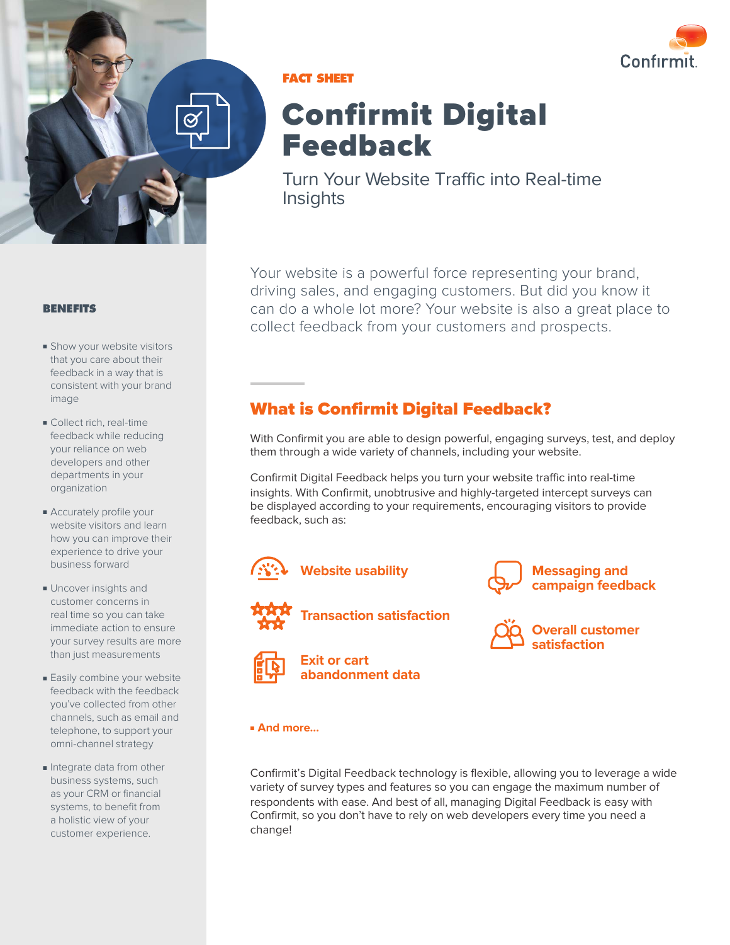



### **FACT SHEET**

# Confirmit Digital Feedback

Turn Your Website Traffic into Real-time **Insights** 

Your website is a powerful force representing your brand, driving sales, and engaging customers. But did you know it can do a whole lot more? Your website is also a great place to collect feedback from your customers and prospects.

## What is Confirmit Digital Feedback?

With Confirmit you are able to design powerful, engaging surveys, test, and deploy them through a wide variety of channels, including your website.

Confirmit Digital Feedback helps you turn your website traffic into real-time insights. With Confirmit, unobtrusive and highly-targeted intercept surveys can be displayed according to your requirements, encouraging visitors to provide feedback, such as:





**Transaction satisfaction**





**Messaging and campaign feedback**



#### ■ **And more…**

Confirmit's Digital Feedback technology is flexible, allowing you to leverage a wide variety of survey types and features so you can engage the maximum number of respondents with ease. And best of all, managing Digital Feedback is easy with Confirmit, so you don't have to rely on web developers every time you need a change!

#### **BENEFITS**

- Show your website visitors that you care about their feedback in a way that is consistent with your brand image
- Collect rich, real-time feedback while reducing your reliance on web developers and other departments in your organization
- Accurately profile your website visitors and learn how you can improve their experience to drive your business forward
- Uncover insights and customer concerns in real time so you can take immediate action to ensure your survey results are more than just measurements
- Easily combine your website feedback with the feedback you've collected from other channels, such as email and telephone, to support your omni-channel strategy
- Integrate data from other business systems, such as your CRM or financial systems, to benefit from a holistic view of your customer experience.